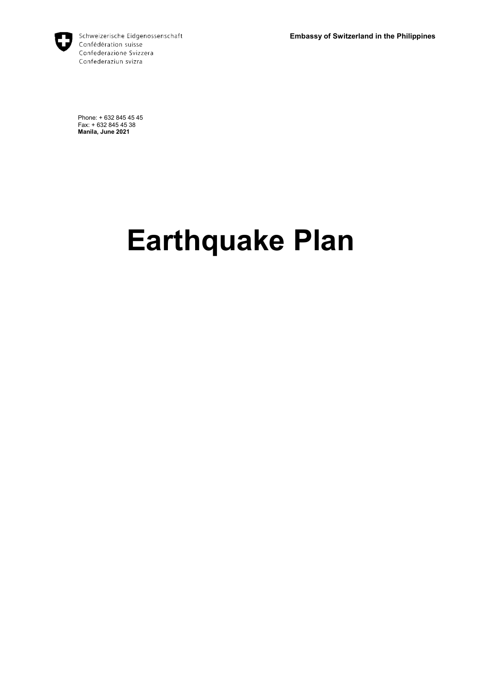**Embassy of Switzerland in the Philippines**



Schweizerische Eidgenossenschaft Confédération suisse Confederazione Svizzera Confederaziun svizra

Phone: + 632 845 45 45 Fax: + 632 845 45 38 **Manila, June 2021**

# **Earthquake Plan**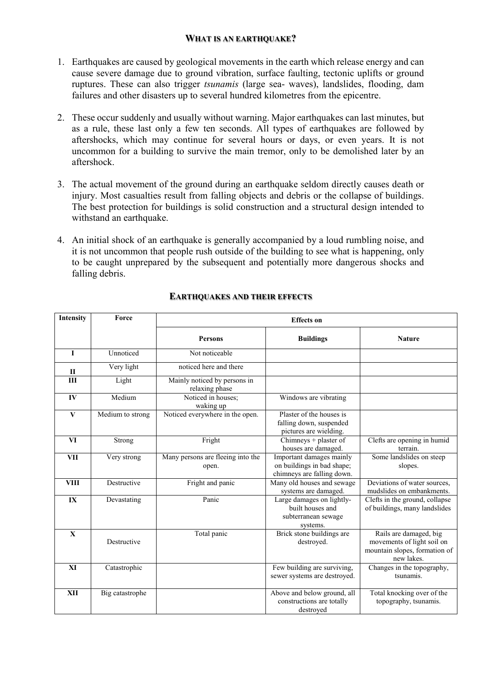# **WHAT IS AN EARTHQUAKE?**

- 1. Earthquakes are caused by geological movements in the earth which release energy and can cause severe damage due to ground vibration, surface faulting, tectonic uplifts or ground ruptures. These can also trigger *tsunamis* (large sea- waves), landslides, flooding, dam failures and other disasters up to several hundred kilometres from the epicentre.
- 2. These occur suddenly and usually without warning. Major earthquakes can last minutes, but as a rule, these last only a few ten seconds. All types of earthquakes are followed by aftershocks, which may continue for several hours or days, or even years. It is not uncommon for a building to survive the main tremor, only to be demolished later by an aftershock.
- 3. The actual movement of the ground during an earthquake seldom directly causes death or injury. Most casualties result from falling objects and debris or the collapse of buildings. The best protection for buildings is solid construction and a structural design intended to withstand an earthquake.
- 4. An initial shock of an earthquake is generally accompanied by a loud rumbling noise, and it is not uncommon that people rush outside of the building to see what is happening, only to be caught unprepared by the subsequent and potentially more dangerous shocks and falling debris.

| <b>Intensity</b> | Force            | <b>Effects</b> on                              |                                                                                      |                                                                                                     |  |  |
|------------------|------------------|------------------------------------------------|--------------------------------------------------------------------------------------|-----------------------------------------------------------------------------------------------------|--|--|
|                  |                  | <b>Persons</b>                                 | <b>Buildings</b>                                                                     | <b>Nature</b>                                                                                       |  |  |
| L                | Unnoticed        | Not noticeable                                 |                                                                                      |                                                                                                     |  |  |
| $\mathbf{I}$     | Very light       | noticed here and there                         |                                                                                      |                                                                                                     |  |  |
| III              | Light            | Mainly noticed by persons in<br>relaxing phase |                                                                                      |                                                                                                     |  |  |
| IV               | Medium           | Noticed in houses;<br>waking up                | Windows are vibrating                                                                |                                                                                                     |  |  |
| $\mathbf{V}$     | Medium to strong | Noticed everywhere in the open.                | Plaster of the houses is<br>falling down, suspended<br>pictures are wielding.        |                                                                                                     |  |  |
| <b>VI</b>        | Strong           | Fright                                         | Chimneys + plaster of<br>houses are damaged.                                         | Clefts are opening in humid<br>terrain.                                                             |  |  |
| <b>VII</b>       | Very strong      | Many persons are fleeing into the<br>open.     | Important damages mainly<br>on buildings in bad shape;<br>chimneys are falling down. | Some landslides on steep<br>slopes.                                                                 |  |  |
| <b>VIII</b>      | Destructive      | Fright and panic                               | Many old houses and sewage<br>systems are damaged.                                   | Deviations of water sources,<br>mudslides on embankments.                                           |  |  |
| IX               | Devastating      | Panic                                          | Large damages on lightly-<br>built houses and<br>subterranean sewage<br>systems.     | Clefts in the ground, collapse<br>of buildings, many landslides                                     |  |  |
| $\mathbf{X}$     | Destructive      | Total panic                                    | Brick stone buildings are<br>destroyed.                                              | Rails are damaged, big<br>movements of light soil on<br>mountain slopes, formation of<br>new lakes. |  |  |
| XI               | Catastrophic     |                                                | Few building are surviving,<br>sewer systems are destroyed.                          | Changes in the topography,<br>tsunamis.                                                             |  |  |
| XII              | Big catastrophe  |                                                | Above and below ground, all<br>constructions are totally<br>destroved                | Total knocking over of the<br>topography, tsunamis.                                                 |  |  |

# **EARTHQUAKES AND THEIR EFFECTS**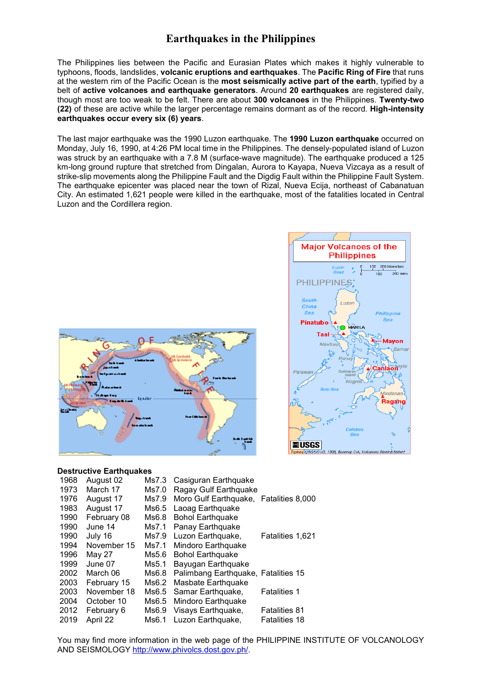# **Earthquakes in the Philippines**

The Philippines lies between the Pacific and Eurasian Plates which makes it highly vulnerable to typhoons, floods, landslides, **volcanic eruptions and earthquakes**. The **Pacific Ring of Fire** that runs at the western rim of the Pacific Ocean is the **most seismically active part of the earth**, typified by a belt of **active volcanoes and earthquake generators**. Around **20 earthquakes** are registered daily, though most are too weak to be felt. There are about **300 volcanoes** in the Philippines. **Twenty-two (22)** of these are active while the larger percentage remains dormant as of the record. **High-intensity earthquakes occur every six (6) years**.

The last major earthquake was the 1990 Luzon earthquake. The **1990 Luzon earthquake** occurred on Monday, July 16, 1990, at 4:26 PM local time in the Philippines. The densely-populated island of Luzon was struck by an earthquake with a 7.8 M (surface-wave magnitude). The earthquake produced a 125 km-long ground rupture that stretched from Dingalan, Aurora to Kayapa, Nueva Vizcaya as a result of strike-slip movements along the Philippine Fault and the Digdig Fault within the Philippine Fault System. The earthquake epicenter was placed near the town of Rizal, Nueva Ecija, northeast of Cabanatuan City. An estimated 1,621 people were killed in the earthquake, most of the fatalities located in Central Luzon and the Cordillera region.





#### **Destructive Earthquakes**

| 1968 | August 02   | Ms7.3 | Casiguran Earthquake                   |                      |
|------|-------------|-------|----------------------------------------|----------------------|
| 1973 | March 17    | Ms7.0 | Ragay Gulf Earthquake                  |                      |
| 1976 | August 17   | Ms7.9 | Moro Gulf Earthquake, Fatalities 8,000 |                      |
| 1983 | August 17   | Ms6.5 | Laoag Earthquake                       |                      |
| 1990 | February 08 | Ms6.8 | <b>Bohol Earthquake</b>                |                      |
| 1990 | June 14     | Ms7.1 | Panay Earthquake                       |                      |
| 1990 | July 16     | Ms7.9 | Luzon Earthquake,                      | Fatalities 1,621     |
| 1994 | November 15 | Ms7.1 | Mindoro Earthquake                     |                      |
| 1996 | May 27      | Ms5.6 | <b>Bohol Earthquake</b>                |                      |
| 1999 | June 07     | Ms5.1 | Bayugan Earthquake                     |                      |
| 2002 | March 06    | Ms6.8 | Palimbang Earthquake, Fatalities 15    |                      |
| 2003 | February 15 | Ms6.2 | Masbate Earthquake                     |                      |
| 2003 | November 18 | Ms6.5 | Samar Earthquake,                      | <b>Fatalities 1</b>  |
| 2004 | October 10  | Ms6.5 | Mindoro Earthquake                     |                      |
| 2012 | February 6  | Ms6.9 | Visays Earthquake,                     | <b>Fatalities 81</b> |
| 2019 | April 22    | Ms6.1 | Luzon Earthquake,                      | <b>Fatalities 18</b> |

You may find more information in the web page of the PHILIPPINE INSTITUTE OF VOLCANOLOGY AND SEISMOLOGY http://www.phivolcs.dost.gov.ph/.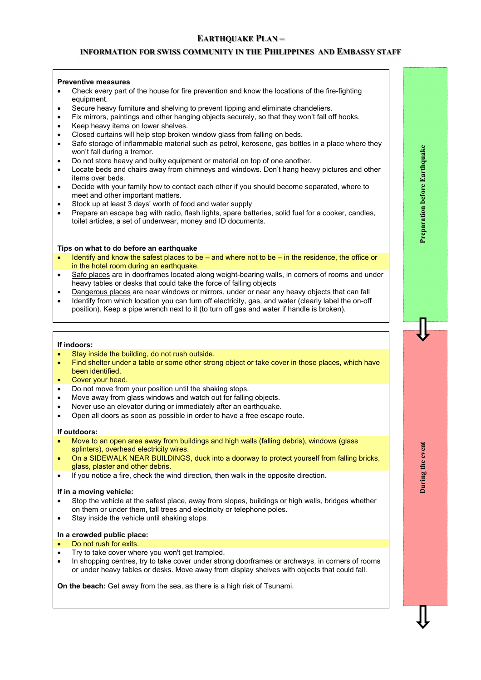# **EARTHQUAKE PLAN –**

# **INFORMATION FOR SWISS COMMUNITY IN THE PHILIPPINES AND EMBASSY STAFF**

#### **Preventive measures**

- Check every part of the house for fire prevention and know the locations of the fire-fighting equipment.
- Secure heavy furniture and shelving to prevent tipping and eliminate chandeliers.
- Fix mirrors, paintings and other hanging objects securely, so that they won't fall off hooks.
- Keep heavy items on lower shelves.
- Closed curtains will help stop broken window glass from falling on beds.
- Safe storage of inflammable material such as petrol, kerosene, gas bottles in a place where they won't fall during a tremor.
- Do not store heavy and bulky equipment or material on top of one another.
- Locate beds and chairs away from chimneys and windows. Don't hang heavy pictures and other items over beds.
- Decide with your family how to contact each other if you should become separated, where to meet and other important matters.
- Stock up at least 3 days' worth of food and water supply
- Prepare an escape bag with radio, flash lights, spare batteries, solid fuel for a cooker, candles, toilet articles, a set of underwear, money and ID documents.

#### **Tips on what to do before an earthquake**

- Identify and know the safest places to be and where not to be in the residence, the office or in the hotel room during an earthquake.
- Safe places are in doorframes located along weight-bearing walls, in corners of rooms and under heavy tables or desks that could take the force of falling objects
- Dangerous places are near windows or mirrors, under or near any heavy objects that can fall
- Identify from which location you can turn off electricity, gas, and water (clearly label the on-off position). Keep a pipe wrench next to it (to turn off gas and water if handle is broken).

#### **If indoors:**

- Stay inside the building, do not rush outside.
- Find shelter under a table or some other strong object or take cover in those places, which have been identified.
- Cover your head.
- Do not move from your position until the shaking stops.
- Move away from glass windows and watch out for falling objects.
- Never use an elevator during or immediately after an earthquake.
- Open all doors as soon as possible in order to have a free escape route.

#### **If outdoors:**

- Move to an open area away from buildings and high walls (falling debris), windows (glass splinters), overhead electricity wires.
- On a SIDEWALK NEAR BUILDINGS, duck into a doorway to protect yourself from falling bricks, glass, plaster and other debris.
- If you notice a fire, check the wind direction, then walk in the opposite direction.

#### **If in a moving vehicle:**

- Stop the vehicle at the safest place, away from slopes, buildings or high walls, bridges whether on them or under them, tall trees and electricity or telephone poles.
- Stay inside the vehicle until shaking stops.

#### **In a crowded public place:**

#### Do not rush for exits.

- Try to take cover where you won't get trampled.
- In shopping centres, try to take cover under strong doorframes or archways, in corners of rooms or under heavy tables or desks. Move away from display shelves with objects that could fall.

**On the beach:** Get away from the sea, as there is a high risk of Tsunami.

During the event